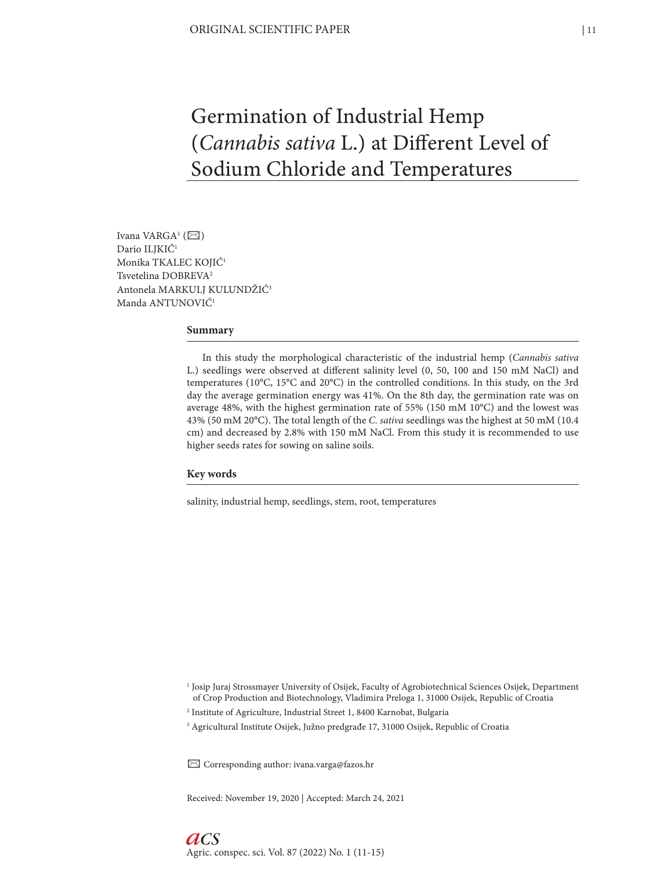# Germination of Industrial Hemp (*Cannabis sativa* L.) at Different Level of Sodium Chloride and Temperatures

Ivana VARGA<sup>1</sup> ( $\boxtimes$ ) Dario ILIKIĆ<sup>1</sup> Monika TKALEC KOJIĆ1 Tsvetelina DOBREVA2 Antonela MARKULJ KULUNDŽIĆ3 Manda ANTUNOVIĆ1

#### **Summary**

In this study the morphological characteristic of the industrial hemp (*Cannabis sativa* L.) seedlings were observed at different salinity level (0, 50, 100 and 150 mM NaCl) and temperatures (10°C, 15°C and 20°C) in the controlled conditions. In this study, on the 3rd day the average germination energy was 41%. On the 8th day, the germination rate was on average 48%, with the highest germination rate of 55% (150 mM 10°C) and the lowest was 43% (50 mM 20°C). The total length of the *C. sativa* seedlings was the highest at 50 mM (10.4 cm) and decreased by 2.8% with 150 mM NaCl. From this study it is recommended to use higher seeds rates for sowing on saline soils.

### **Key words**

salinity, industrial hemp, seedlings, stem, root, temperatures

✉ Corresponding author: ivana.varga@fazos.hr

Received: November 19, 2020 | Accepted: March 24, 2021

<sup>1</sup> Josip Juraj Strossmayer University of Osijek, Faculty of Agrobiotechnical Sciences Osijek, Department of Crop Production and Biotechnology, Vladimira Preloga 1, 31000 Osijek, Republic of Croatia

<sup>2</sup> Institute of Agriculture, Industrial Street 1, 8400 Karnobat, Bulgaria

<sup>3</sup> Agricultural Institute Osijek, Južno predgrađe 17, 31000 Osijek, Republic of Croatia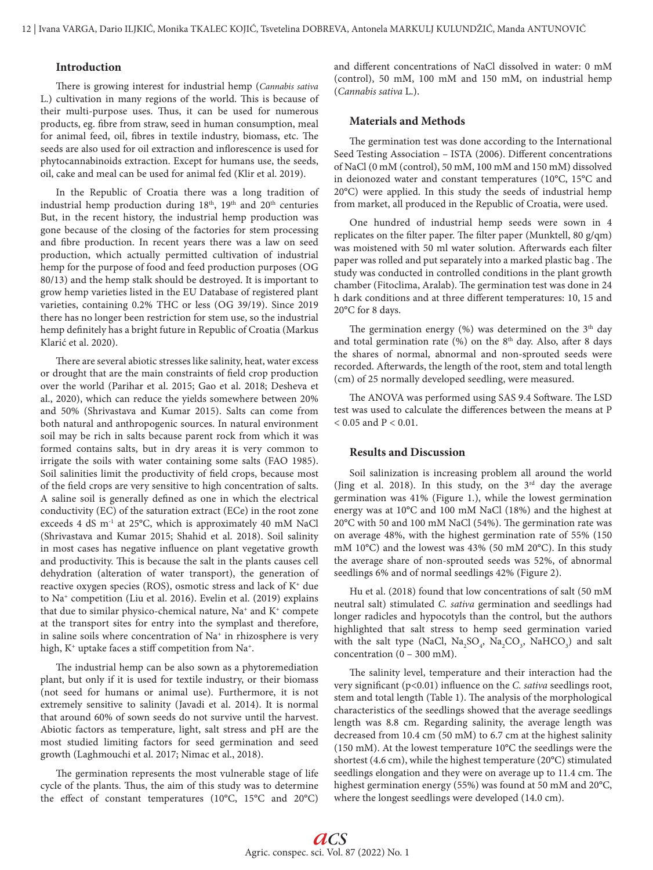## **Introduction**

There is growing interest for industrial hemp (*Cannabis sativa* L.) cultivation in many regions of the world. This is because of their multi-purpose uses. Thus, it can be used for numerous products, eg. fibre from straw, seed in human consumption, meal for animal feed, oil, fibres in textile industry, biomass, etc. The seeds are also used for oil extraction and inflorescence is used for phytocannabinoids extraction. Except for humans use, the seeds, oil, cake and meal can be used for animal fed (Klir et al. 2019).

In the Republic of Croatia there was a long tradition of industrial hemp production during  $18<sup>th</sup>$ ,  $19<sup>th</sup>$  and  $20<sup>th</sup>$  centuries But, in the recent history, the industrial hemp production was gone because of the closing of the factories for stem processing and fibre production. In recent years there was a law on seed production, which actually permitted cultivation of industrial hemp for the purpose of food and feed production purposes (OG 80/13) and the hemp stalk should be destroyed. It is important to grow hemp varieties listed in the EU Database of registered plant varieties, containing 0.2% THC or less (OG 39/19). Since 2019 there has no longer been restriction for stem use, so the industrial hemp definitely has a bright future in Republic of Croatia (Markus Klarić et al. 2020).

There are several abiotic stresses like salinity, heat, water excess or drought that are the main constraints of field crop production over the world (Parihar et al. 2015; Gao et al. 2018; Desheva et al., 2020), which can reduce the yields somewhere between 20% and 50% (Shrivastava and Kumar 2015). Salts can come from both natural and anthropogenic sources. In natural environment soil may be rich in salts because parent rock from which it was formed contains salts, but in dry areas it is very common to irrigate the soils with water containing some salts (FAO 1985). Soil salinities limit the productivity of field crops, because most of the field crops are very sensitive to high concentration of salts. A saline soil is generally defined as one in which the electrical conductivity (EC) of the saturation extract (ECe) in the root zone exceeds 4 dS m-1 at 25°C, which is approximately 40 mM NaCl (Shrivastava and Kumar 2015; Shahid et al. 2018). Soil salinity in most cases has negative influence on plant vegetative growth and productivity. This is because the salt in the plants causes cell dehydration (alteration of water transport), the generation of reactive oxygen species (ROS), osmotic stress and lack of K+ due to Na+ competition (Liu et al. 2016). Evelin et al. (2019) explains that due to similar physico-chemical nature,  $Na^+$  and  $K^+$  compete at the transport sites for entry into the symplast and therefore, in saline soils where concentration of Na<sup>+</sup> in rhizosphere is very high, K<sup>+</sup> uptake faces a stiff competition from Na<sup>+</sup>.

The industrial hemp can be also sown as a phytoremediation plant, but only if it is used for textile industry, or their biomass (not seed for humans or animal use). Furthermore, it is not extremely sensitive to salinity (Javadi et al. 2014). It is normal that around 60% of sown seeds do not survive until the harvest. Abiotic factors as temperature, light, salt stress and pH are the most studied limiting factors for seed germination and seed growth (Laghmouchi et al. 2017; Nimac et al., 2018).

The germination represents the most vulnerable stage of life cycle of the plants. Thus, the aim of this study was to determine the effect of constant temperatures (10°C, 15°C and 20°C) and different concentrations of NaCl dissolved in water: 0 mM (control), 50 mM, 100 mM and 150 mM, on industrial hemp (*Cannabis sativa* L.).

#### **Materials and Methods**

The germination test was done according to the International Seed Testing Association – ISTA (2006). Different concentrations of NaCl (0 mM (control), 50 mM, 100 mM and 150 mM) dissolved in deionozed water and constant temperatures (10°C, 15°C and 20°C) were applied. In this study the seeds of industrial hemp from market, all produced in the Republic of Croatia, were used.

One hundred of industrial hemp seeds were sown in 4 replicates on the filter paper. The filter paper (Munktell, 80 g/qm) was moistened with 50 ml water solution. Afterwards each filter paper was rolled and put separately into a marked plastic bag . The study was conducted in controlled conditions in the plant growth chamber (Fitoclima, Aralab). The germination test was done in 24 h dark conditions and at three different temperatures: 10, 15 and 20°C for 8 days.

The germination energy  $(\%)$  was determined on the 3<sup>th</sup> day and total germination rate  $(\%)$  on the 8<sup>th</sup> day. Also, after 8 days the shares of normal, abnormal and non-sprouted seeds were recorded. Afterwards, the length of the root, stem and total length (cm) of 25 normally developed seedling, were measured.

The ANOVA was performed using SAS 9.4 Software. The LSD test was used to calculate the differences between the means at P  $< 0.05$  and P  $< 0.01$ .

## **Results and Discussion**

Soil salinization is increasing problem all around the world (Jing et al. 2018). In this study, on the  $3<sup>rd</sup>$  day the average germination was 41% (Figure 1.), while the lowest germination energy was at 10°C and 100 mM NaCl (18%) and the highest at 20°C with 50 and 100 mM NaCl (54%). The germination rate was on average 48%, with the highest germination rate of 55% (150 mM 10°C) and the lowest was 43% (50 mM 20°C). In this study the average share of non-sprouted seeds was 52%, of abnormal seedlings 6% and of normal seedlings 42% (Figure 2).

Hu et al. (2018) found that low concentrations of salt (50 mM neutral salt) stimulated *C. sativa* germination and seedlings had longer radicles and hypocotyls than the control, but the authors highlighted that salt stress to hemp seed germination varied with the salt type (NaCl,  $\text{Na}_2\text{SO}_4$ ,  $\text{Na}_2\text{CO}_3$ ,  $\text{NaHCO}_3$ ) and salt concentration (0 – 300 mM).

The salinity level, temperature and their interaction had the very significant (p<0.01) influence on the *C. sativa* seedlings root, stem and total length (Table 1). The analysis of the morphological characteristics of the seedlings showed that the average seedlings length was 8.8 cm. Regarding salinity, the average length was decreased from 10.4 cm (50 mM) to 6.7 cm at the highest salinity (150 mM). At the lowest temperature 10°C the seedlings were the shortest (4.6 cm), while the highest temperature (20°C) stimulated seedlings elongation and they were on average up to 11.4 cm. The highest germination energy (55%) was found at 50 mM and 20°C, where the longest seedlings were developed (14.0 cm).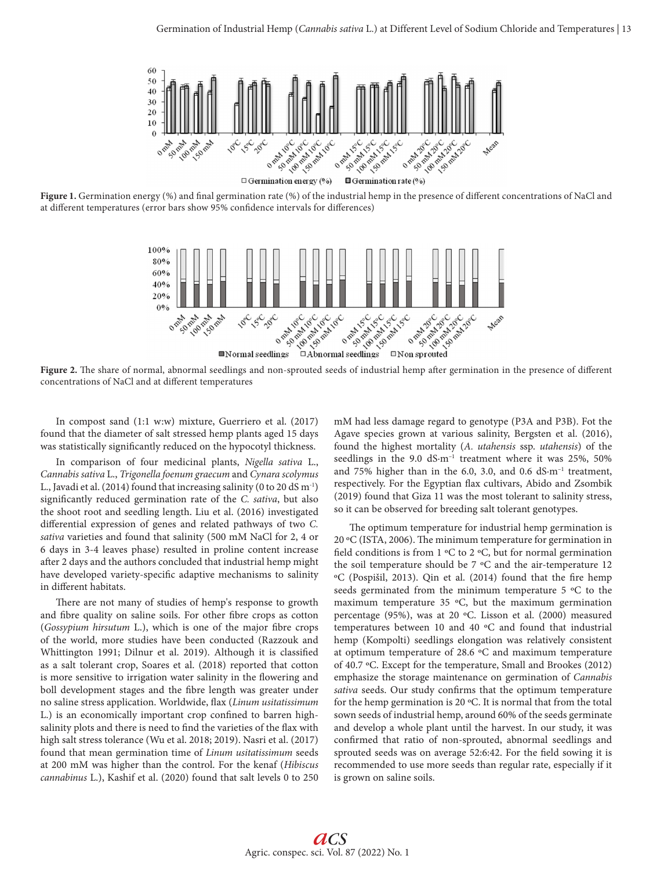

**Figure 1.** Germination energy (%) and final germination rate (%) of the industrial hemp in the presence of different concentrations of NaCl and at different temperatures (error bars show 95% confidence intervals for differences)



**Figure 2.** The share of normal, abnormal seedlings and non-sprouted seeds of industrial hemp after germination in the presence of different concentrations of NaCl and at different temperatures

In compost sand (1:1 w:w) mixture, Guerriero et al. (2017) found that the diameter of salt stressed hemp plants aged 15 days was statistically significantly reduced on the hypocotyl thickness.

In comparison of four medicinal plants, *Nigella sativa* L., *Cannabis sativa* L., *Trigonella foenum graecum* and *Cynara scolymus* L., Javadi et al. (2014) found that increasing salinity (0 to 20 dS m-1) significantly reduced germination rate of the *C. sativa*, but also the shoot root and seedling length. Liu et al. (2016) investigated differential expression of genes and related pathways of two *C. sativa* varieties and found that salinity (500 mM NaCl for 2, 4 or 6 days in 3-4 leaves phase) resulted in proline content increase after 2 days and the authors concluded that industrial hemp might have developed variety-specific adaptive mechanisms to salinity in different habitats.

There are not many of studies of hemp's response to growth and fibre quality on saline soils. For other fibre crops as cotton (*Gossypium hirsutum* L.), which is one of the major fibre crops of the world, more studies have been conducted (Razzouk and Whittington 1991; Dilnur et al. 2019). Although it is classified as a salt tolerant crop, Soares et al. (2018) reported that cotton is more sensitive to irrigation water salinity in the flowering and boll development stages and the fibre length was greater under no saline stress application. Worldwide, flax (*Linum usitatissimum* L.) is an economically important crop confined to barren highsalinity plots and there is need to find the varieties of the flax with high salt stress tolerance (Wu et al. 2018; 2019). Nasri et al. (2017) found that mean germination time of *Linum usitatissimum* seeds at 200 mM was higher than the control. For the kenaf (*Hibiscus cannabinus* L.), Kashif et al. (2020) found that salt levels 0 to 250 mM had less damage regard to genotype (P3A and P3B). Fot the Agave species grown at various salinity, Bergsten et al. (2016), found the highest mortality (*A. utahensis* ssp. *utahensis*) of the seedlings in the 9.0 dS·m<sup>-1</sup> treatment where it was 25%, 50% and 75% higher than in the 6.0, 3.0, and 0.6 dS·m–1 treatment, respectively. For the Egyptian flax cultivars, Abido and Zsombik (2019) found that Giza 11 was the most tolerant to salinity stress, so it can be observed for breeding salt tolerant genotypes.

The optimum temperature for industrial hemp germination is 20 ºC (ISTA, 2006). The minimum temperature for germination in field conditions is from  $1 \,^{\circ}\text{C}$  to 2  $\,^{\circ}\text{C}$ , but for normal germination the soil temperature should be 7 ºC and the air-temperature 12 ºC (Pospišil, 2013). Qin et al. (2014) found that the fire hemp seeds germinated from the minimum temperature 5 ºC to the maximum temperature 35 ºC, but the maximum germination percentage (95%), was at 20 ºC. Lisson et al. (2000) measured temperatures between 10 and 40 ºC and found that industrial hemp (Kompolti) seedlings elongation was relatively consistent at optimum temperature of 28.6 ºC and maximum temperature of 40.7 ºC. Except for the temperature, Small and Brookes (2012) emphasize the storage maintenance on germination of *Cannabis sativa* seeds. Our study confirms that the optimum temperature for the hemp germination is 20 ºC. It is normal that from the total sown seeds of industrial hemp, around 60% of the seeds germinate and develop a whole plant until the harvest. In our study, it was confirmed that ratio of non-sprouted, abnormal seedlings and sprouted seeds was on average 52:6:42. For the field sowing it is recommended to use more seeds than regular rate, especially if it is grown on saline soils.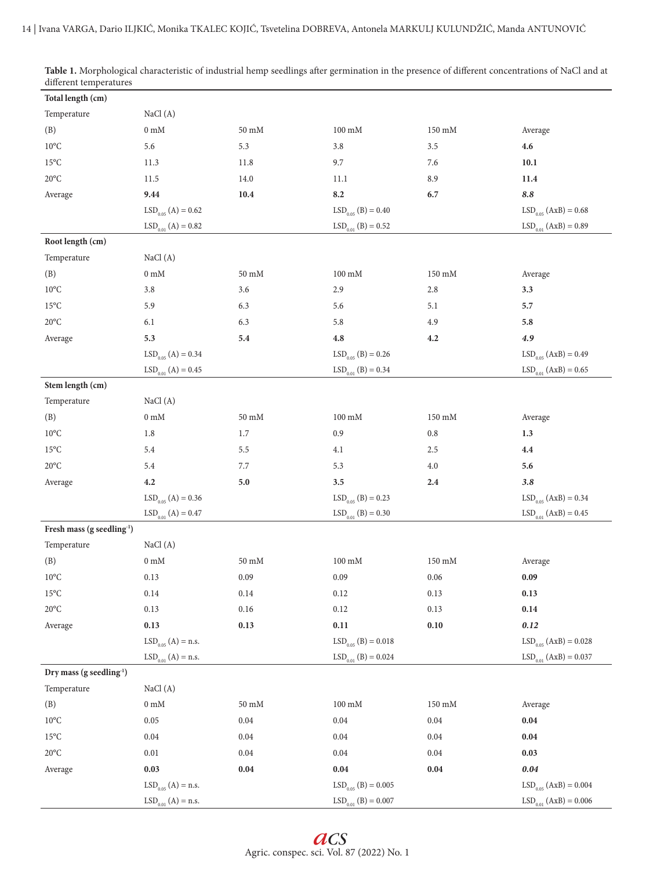| Total length (cm)                     |                                                                 |                         |                          |                          |                            |
|---------------------------------------|-----------------------------------------------------------------|-------------------------|--------------------------|--------------------------|----------------------------|
| Temperature                           | NaCl(A)                                                         |                         |                          |                          |                            |
| (B)                                   | $0\;\mathrm{mM}$                                                | $50\ \mathrm{mM}$       | $100\text{ }\mathrm{mM}$ | $150\text{ }\mathrm{mM}$ | Average                    |
| $10^{\circ} \text{C}$                 | 5.6                                                             | 5.3                     | $3.8\,$                  | $3.5\,$                  | 4.6                        |
| $15^{\circ}$ C                        | 11.3                                                            | 11.8                    | 9.7                      | 7.6                      | 10.1                       |
| $20^{\rm o}{\rm C}$                   | 11.5                                                            | 14.0                    | 11.1                     | 8.9                      | 11.4                       |
| Average                               | 9.44                                                            | $\bf 10.4$              | $\bf 8.2$                | $6.7\,$                  | $\bf 8.8$                  |
|                                       | $LSD_{0.05} (A) = 0.62$                                         |                         | $LSD0.05$ (B) = 0.40     |                          | $LSD_{0.05} (AxB) = 0.68$  |
|                                       | $LSD_{0.01} (A) = 0.82$                                         |                         | $LSD_{0.01} (B) = 0.52$  |                          | $LSD_{0.01} (AxB) = 0.89$  |
| Root length (cm)                      |                                                                 |                         |                          |                          |                            |
| Temperature                           | NaCl(A)                                                         |                         |                          |                          |                            |
| (B)                                   | $0\;\mathrm{mM}$                                                | $50\text{ }\mathrm{mM}$ | $100 \text{ mM}$         | $150\text{ }\mathrm{mM}$ | Average                    |
| $10^{\circ} \text{C}$                 | $3.8\,$                                                         | 3.6                     | 2.9                      | $2.8\,$                  | 3.3                        |
| $15^{\circ}$ C                        | 5.9                                                             | 6.3                     | 5.6                      | 5.1                      | 5.7                        |
| $20^{\rm o}{\rm C}$                   | 6.1                                                             | 6.3                     | 5.8                      | 4.9                      | 5.8                        |
| Average                               | 5.3                                                             | $5.4\,$                 | $\bf 4.8$                | 4.2                      | 4.9                        |
|                                       | $LSD0.05$ (A) = 0.34                                            |                         | $LSD_{0.05}$ (B) = 0.26  |                          | $LSD_{0.05} (AxB) = 0.49$  |
|                                       | $LSD_{0.01} (A) = 0.45$                                         |                         | $LSD_{0.01} (B) = 0.34$  |                          | $LSD0.01 (AxB) = 0.65$     |
| Stem length (cm)                      |                                                                 |                         |                          |                          |                            |
| Temperature                           | NaCl(A)                                                         |                         |                          |                          |                            |
| (B)                                   | $0\;\mathrm{mM}$                                                | $50\text{ }\mathrm{mM}$ | $100 \text{ mM}$         | $150\text{ }\mathrm{mM}$ | Average                    |
| $10^{\circ} \text{C}$                 | $1.8\,$                                                         | 1.7                     | 0.9                      | $\rm 0.8$                | 1.3                        |
| $15^{\circ} \text{C}$                 | 5.4                                                             | $5.5\,$                 | 4.1                      | $2.5\,$                  | 4.4                        |
| $20^{\rm o}{\rm C}$                   | $5.4\,$                                                         | $7.7\,$                 | 5.3                      | $4.0\,$                  | $5.6\,$                    |
| Average                               | $4.2\,$                                                         | $5.0\,$                 | $3.5\,$                  | 2.4                      | 3.8                        |
|                                       | $LSD0.05$ (A) = 0.36                                            |                         | $LSD_{0.05}$ (B) = 0.23  |                          | $LSD_{0.05} (AxB) = 0.34$  |
|                                       | $LSD_{0.01} (A) = 0.47$                                         |                         | $LSD_{0.01} (B) = 0.30$  |                          | $LSD_{0.01} (AxB) = 0.45$  |
| Fresh mass (g seedling <sup>1</sup> ) |                                                                 |                         |                          |                          |                            |
| Temperature                           | NaCl(A)                                                         |                         |                          |                          |                            |
| (B)                                   | $0\;\mathrm{mM}$                                                | $50\text{ }\mathrm{mM}$ | $100 \text{ mM}$         | $150\text{ }\mathrm{mM}$ | Average                    |
| $10^{\rm o}{\rm C}$                   | 0.13                                                            | 0.09                    | 0.09                     | 0.06                     | 0.09                       |
| $15^{\circ}$ C                        | $0.14\,$                                                        | $0.14\,$                | 0.12                     | 0.13                     | 0.13                       |
| $20^{\rm o}{\rm C}$                   | 0.13                                                            | $0.16\,$                | $0.12\,$                 | $0.13\,$                 | $\mathbf{0.14}$            |
| Average                               | 0.13                                                            | 0.13                    | 0.11                     | 0.10                     | 0.12                       |
|                                       | $LSD_{0.05} (A) = n.s.$                                         |                         | $LSD0.05$ (B) = 0.018    |                          | $LSD0.05 (AxB) = 0.028$    |
|                                       | $LSD_{0.01} (A) = n.s.$                                         |                         | $LSD_{0.01} (B) = 0.024$ |                          | $LSD_{0.01} (AxB) = 0.037$ |
| Dry mass (g seedling <sup>-1</sup> )  |                                                                 |                         |                          |                          |                            |
| Temperature                           | NaCl(A)                                                         |                         |                          |                          |                            |
| (B)                                   | $0\;\mathrm{mM}$                                                | $50\text{ }\mathrm{mM}$ | $100\text{ }\mathrm{mM}$ | $150\text{ }\mathrm{mM}$ | Average                    |
| $10^{\rm o}{\rm C}$                   | $0.05\,$                                                        | $\rm 0.04$              | $0.04\,$                 | $0.04\,$                 | $0.04\,$                   |
| $15^{\circ} \text{C}$                 | $0.04\,$                                                        | $0.04\,$                | $0.04\,$                 | $0.04\,$                 | $0.04\,$                   |
| $20^{\circ}$ C                        | 0.01                                                            | $0.04\,$                | $0.04\,$                 | $0.04\,$                 | $0.03\,$                   |
| Average                               | 0.03                                                            | $\mathbf{0.04}$         | 0.04                     | 0.04                     | $\boldsymbol{0.04}$        |
|                                       | $\mathrm{LSD}_{_{0.05}}\left( \mathrm{A}\right) =\mathrm{n.s.}$ |                         | $LSD_{0.05} (B) = 0.005$ |                          | $LSD_{0.05} (AxB) = 0.004$ |
|                                       | $\mathrm{LSD}_{0.01}$ (A) = n.s.                                |                         | $LSD_{0.01} (B) = 0.007$ |                          | $LSD0.01 (AxB) = 0.006$    |

**Table 1.** Morphological characteristic of industrial hemp seedlings after germination in the presence of different concentrations of NaCl and at different temperatures